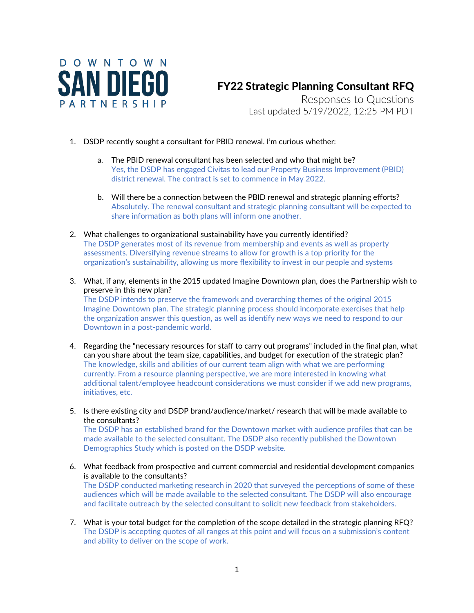

Downtown in a post-pandemic world.

## FY22 Strategic Planning Consultant RFQ

Responses to Questions Last updated 5/19/2022, 12:25 PM PDT

- 1. DSDP recently sought a consultant for PBID renewal. I'm curious whether:
	- a. The PBID renewal consultant has been selected and who that might be? Yes, the DSDP has engaged Civitas to lead our Property Business Improvement (PBID) district renewal. The contract is set to commence in May 2022.
	- b. Will there be a connection between the PBID renewal and strategic planning efforts? Absolutely. The renewal consultant and strategic planning consultant will be expected to share information as both plans will inform one another.
- 2. What challenges to organizational sustainability have you currently identified? The DSDP generates most of its revenue from membership and events as well as property assessments. Diversifying revenue streams to allow for growth is a top priority for the organization's sustainability, allowing us more flexibility to invest in our people and systems
- 3. What, if any, elements in the 2015 updated Imagine Downtown plan, does the Partnership wish to preserve in this new plan? The DSDP intends to preserve the framework and overarching themes of the original 2015 Imagine Downtown plan. The strategic planning process should incorporate exercises that help the organization answer this question, as well as identify new ways we need to respond to our
- 4. Regarding the "necessary resources for staff to carry out programs" included in the final plan, what can you share about the team size, capabilities, and budget for execution of the strategic plan? The knowledge, skills and abilities of our current team align with what we are performing currently. From a resource planning perspective, we are more interested in knowing what additional talent/employee headcount considerations we must consider if we add new programs, initiatives, etc.
- 5. Is there existing city and DSDP brand/audience/market/ research that will be made available to the consultants?

The DSDP has an established brand for the Downtown market with audience profiles that can be made available to the selected consultant. The DSDP also recently published the Downtown Demographics Study which is posted on the DSDP website.

6. What feedback from prospective and current commercial and residential development companies is available to the consultants?

The DSDP conducted marketing research in 2020 that surveyed the perceptions of some of these audiences which will be made available to the selected consultant. The DSDP will also encourage and facilitate outreach by the selected consultant to solicit new feedback from stakeholders.

7. What is your total budget for the completion of the scope detailed in the strategic planning RFQ? The DSDP is accepting quotes of all ranges at this point and will focus on a submission's content and ability to deliver on the scope of work.